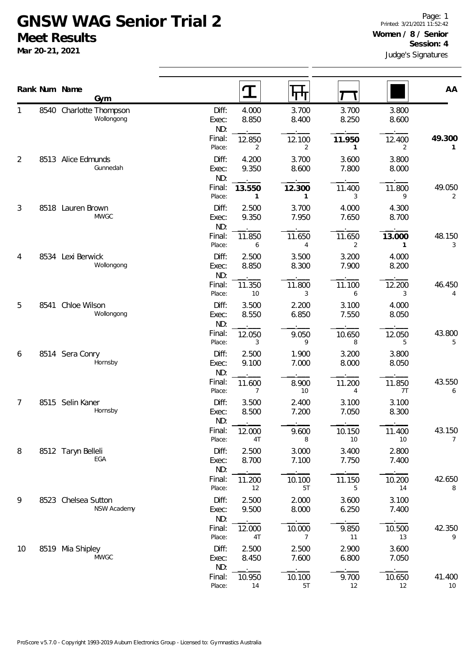## **GNSW WAG Senior Trial 2 Meet Results**

**Mar 20-21, 2021**

|    |      | Rank Num Name<br>Gym                  |                       | $\mathbf T$              | पाप                      |                |                        | AA           |  |
|----|------|---------------------------------------|-----------------------|--------------------------|--------------------------|----------------|------------------------|--------------|--|
| 1  |      | 8540 Charlotte Thompson<br>Wollongong | Diff:<br>Exec:<br>ND: | 4.000<br>8.850           | 3.700<br>8.400           | 3.700<br>8.250 | 3.800<br>8.600         |              |  |
|    |      |                                       | Final:<br>Place:      | 12.850<br>2              | 12.100<br>2              | 11.950<br>1    | 12.400<br>2            | 49.300<br>1  |  |
| 2  |      | 8513 Alice Edmunds<br>Gunnedah        | Diff:<br>Exec:<br>ND: | 4.200<br>9.350           | 3.700<br>8.600           | 3.600<br>7.800 | 3.800<br>8.000         |              |  |
|    |      |                                       | Final:<br>Place:      | 13.550<br>$\mathbf{1}$   | 12.300<br>1              | 11.400<br>3    | 11.800<br>9            | 49.050<br>2  |  |
| 3  |      | 8518 Lauren Brown<br><b>MWGC</b>      | Diff:<br>Exec:<br>ND: | 2.500<br>9.350           | 3.700<br>7.950           | 4.000<br>7.650 | 4.300<br>8.700         |              |  |
|    |      |                                       | Final:<br>Place:      | 11.850<br>6              | 11.650<br>$\overline{4}$ | 11.650<br>2    | 13.000<br>$\mathbf{1}$ | 48.150<br>3  |  |
| 4  | 8534 | Lexi Berwick<br>Wollongong            | Diff:<br>Exec:<br>ND: | 2.500<br>8.850           | 3.500<br>8.300           | 3.200<br>7.900 | 4.000<br>8.200         |              |  |
|    |      |                                       | Final:<br>Place:      | 11.350<br>10             | 11.800<br>3              | 11.100<br>6    | 12.200<br>3            | 46.450<br>4  |  |
| 5  | 8541 | Chloe Wilson<br>Wollongong            | Diff:<br>Exec:<br>ND: | 3.500<br>8.550           | 2.200<br>6.850           | 3.100<br>7.550 | 4.000<br>8.050         |              |  |
|    |      |                                       | Final:<br>Place:      | 12.050<br>3              | 9.050<br>9               | 10.650<br>8    | 12.050<br>5            | 43.800<br>5  |  |
| 6  |      | 8514 Sera Conry<br>Hornsby            | Diff:<br>Exec:<br>ND: | 2.500<br>9.100           | 1.900<br>7.000           | 3.200<br>8.000 | 3.800<br>8.050         |              |  |
|    |      |                                       | Final:<br>Place:      | 11.600<br>$\overline{7}$ | 8.900<br>10              | 11.200<br>4    | 11.850<br>7T           | 43.550<br>6  |  |
| 7  | 8515 | Selin Kaner<br>Hornsby                | Diff:<br>Exec:<br>ND: | 3.500<br>8.500           | 2.400<br>7.200           | 3.100<br>7.050 | 3.100<br>8.300         |              |  |
|    |      |                                       | Final:<br>Place:      | 12.000<br>4T             | 9.600<br>8               | 10.150<br>10   | 11.400<br>10           | 43.150<br>7  |  |
| 8  |      | 8512 Taryn Belleli<br>EGA             | Diff:<br>Exec:<br>ND: | 2.500<br>8.700           | 3.000<br>7.100           | 3.400<br>7.750 | 2.800<br>7.400         |              |  |
|    |      |                                       | Final:<br>Place:      | 11.200<br>12             | 10.100<br>5T             | 11.150<br>5    | 10.200<br>14           | 42.650<br>8  |  |
| 9  |      | 8523 Chelsea Sutton<br>NSW Academy    | Diff:<br>Exec:<br>ND: | 2.500<br>9.500           | 2.000<br>8.000           | 3.600<br>6.250 | 3.100<br>7.400         |              |  |
|    |      |                                       | Final:<br>Place:      | 12.000<br>4T             | 10.000<br>$\overline{7}$ | 9.850<br>11    | 10.500<br>13           | 42.350<br>9  |  |
| 10 |      | 8519 Mia Shipley<br><b>MWGC</b>       | Diff:<br>Exec:<br>ND: | 2.500<br>8.450           | 2.500<br>7.600           | 2.900<br>6.800 | 3.600<br>7.050         |              |  |
|    |      |                                       | Final:<br>Place:      | 10.950<br>14             | 10.100<br>5T             | 9.700<br>12    | 10.650<br>12           | 41.400<br>10 |  |